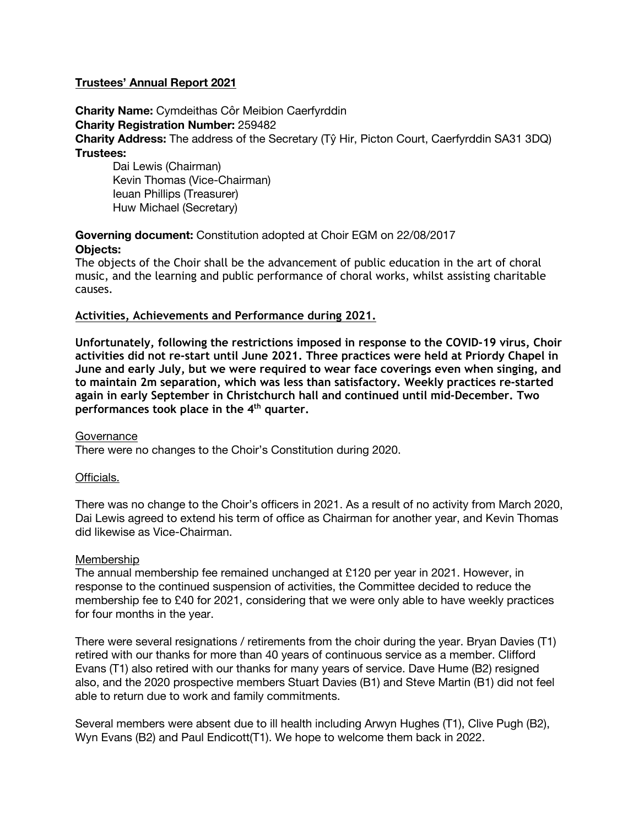# **Trustees' Annual Report 2021**

**Charity Name:** Cymdeithas Côr Meibion Caerfyrddin **Charity Registration Number:** 259482 **Charity Address:** The address of the Secretary (Tŷ Hir, Picton Court, Caerfyrddin SA31 3DQ) **Trustees:**

Dai Lewis (Chairman) Kevin Thomas (Vice-Chairman) Ieuan Phillips (Treasurer) Huw Michael (Secretary)

**Governing document:** Constitution adopted at Choir EGM on 22/08/2017 **Objects:** 

The objects of the Choir shall be the advancement of public education in the art of choral music, and the learning and public performance of choral works, whilst assisting charitable causes.

# **Activities, Achievements and Performance during 2021.**

**Unfortunately, following the restrictions imposed in response to the COVID-19 virus, Choir activities did not re-start until June 2021. Three practices were held at Priordy Chapel in June and early July, but we were required to wear face coverings even when singing, and to maintain 2m separation, which was less than satisfactory. Weekly practices re-started again in early September in Christchurch hall and continued until mid-December. Two performances took place in the 4th quarter.**

# **Governance**

There were no changes to the Choir's Constitution during 2020.

# Officials.

There was no change to the Choir's officers in 2021. As a result of no activity from March 2020, Dai Lewis agreed to extend his term of office as Chairman for another year, and Kevin Thomas did likewise as Vice-Chairman.

# Membership

The annual membership fee remained unchanged at £120 per year in 2021. However, in response to the continued suspension of activities, the Committee decided to reduce the membership fee to £40 for 2021, considering that we were only able to have weekly practices for four months in the year.

There were several resignations / retirements from the choir during the year. Bryan Davies (T1) retired with our thanks for more than 40 years of continuous service as a member. Clifford Evans (T1) also retired with our thanks for many years of service. Dave Hume (B2) resigned also, and the 2020 prospective members Stuart Davies (B1) and Steve Martin (B1) did not feel able to return due to work and family commitments.

Several members were absent due to ill health including Arwyn Hughes (T1), Clive Pugh (B2), Wyn Evans (B2) and Paul Endicott(T1). We hope to welcome them back in 2022.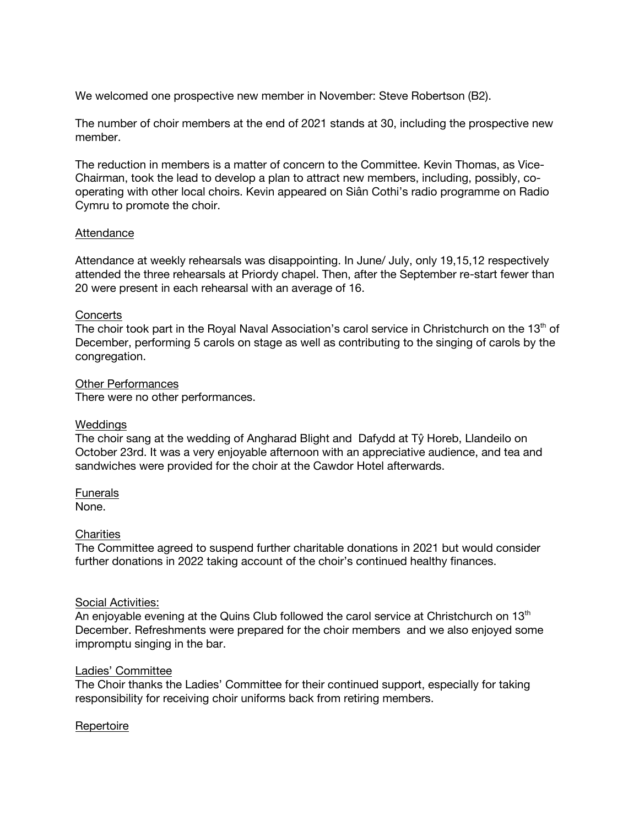We welcomed one prospective new member in November: Steve Robertson (B2).

The number of choir members at the end of 2021 stands at 30, including the prospective new member.

The reduction in members is a matter of concern to the Committee. Kevin Thomas, as Vice-Chairman, took the lead to develop a plan to attract new members, including, possibly, cooperating with other local choirs. Kevin appeared on Siân Cothi's radio programme on Radio Cymru to promote the choir.

# Attendance

Attendance at weekly rehearsals was disappointing. In June/ July, only 19,15,12 respectively attended the three rehearsals at Priordy chapel. Then, after the September re-start fewer than 20 were present in each rehearsal with an average of 16.

### **Concerts**

The choir took part in the Royal Naval Association's carol service in Christchurch on the 13<sup>th</sup> of December, performing 5 carols on stage as well as contributing to the singing of carols by the congregation.

### Other Performances

There were no other performances.

### **Weddings**

The choir sang at the wedding of Angharad Blight and Dafydd at Tŷ Horeb, Llandeilo on October 23rd. It was a very enjoyable afternoon with an appreciative audience, and tea and sandwiches were provided for the choir at the Cawdor Hotel afterwards.

Funerals None.

### **Charities**

The Committee agreed to suspend further charitable donations in 2021 but would consider further donations in 2022 taking account of the choir's continued healthy finances.

### Social Activities:

An enjoyable evening at the Quins Club followed the carol service at Christchurch on  $13<sup>th</sup>$ December. Refreshments were prepared for the choir members and we also enjoyed some impromptu singing in the bar.

### Ladies' Committee

The Choir thanks the Ladies' Committee for their continued support, especially for taking responsibility for receiving choir uniforms back from retiring members.

### Repertoire